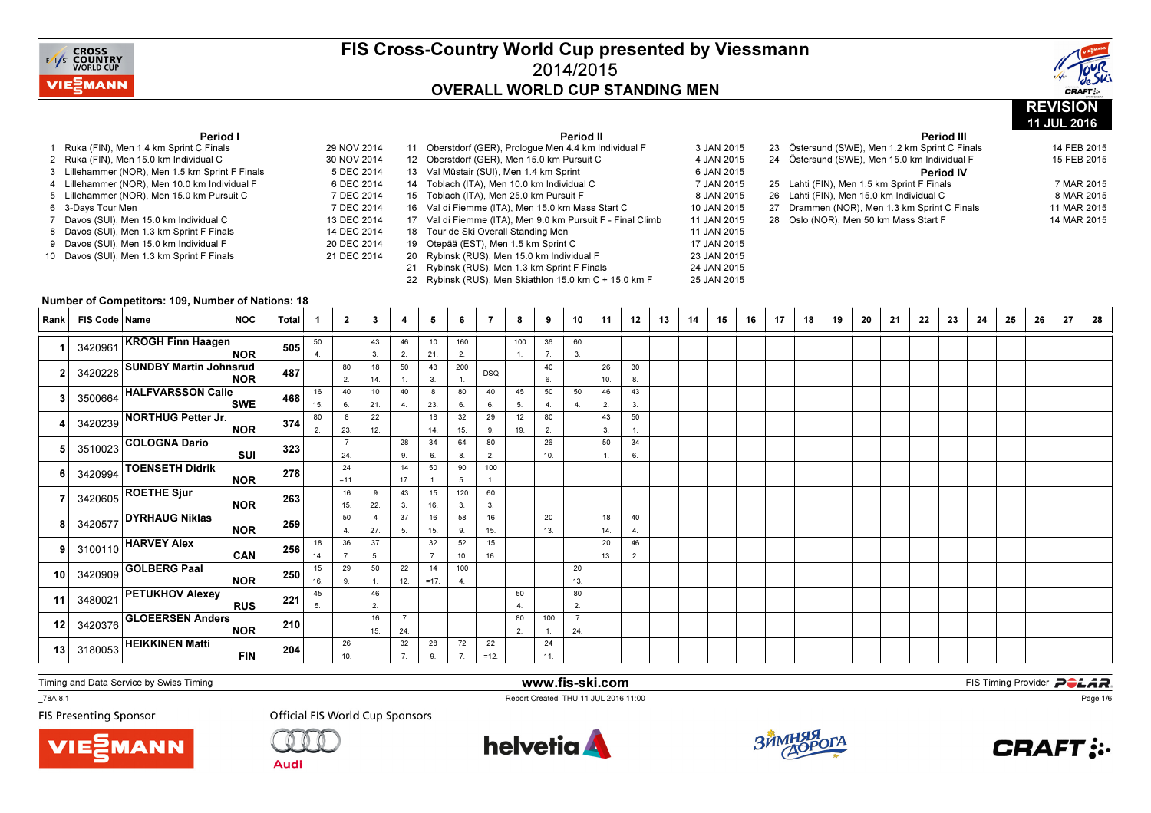

Period II



11 JUL 2016

#### Period I

| 1  | Ruka (FIN), Men 1.4 km Sprint C Finals        | 29 NOV 2014 |
|----|-----------------------------------------------|-------------|
| 2  | Ruka (FIN), Men 15.0 km Individual C          | 30 NOV 2014 |
| 3  | Lillehammer (NOR), Men 1.5 km Sprint F Finals | 5 DEC 2014  |
|    | 4 Lillehammer (NOR), Men 10.0 km Individual F | 6 DEC 2014  |
| 5  | Lillehammer (NOR), Men 15.0 km Pursuit C      | 7 DEC 2014  |
| 6  | 3-Days Tour Men                               | 7 DEC 2014  |
| 7  | Davos (SUI), Men 15.0 km Individual C         | 13 DEC 2014 |
| 8  | Davos (SUI), Men 1.3 km Sprint F Finals       | 14 DEC 2014 |
| 9  | Davos (SUI), Men 15.0 km Individual F         | 20 DEC 2014 |
| 10 | Davos (SUI), Men 1.3 km Sprint F Finals       | 21 DEC 2014 |
|    |                                               |             |

|             |    | Perioa il                                               |             |
|-------------|----|---------------------------------------------------------|-------------|
| 29 NOV 2014 | 11 | Oberstdorf (GER), Prologue Men 4.4 km Individual F      | 3 JAN 2015  |
| 30 NOV 2014 | 12 | Oberstdorf (GER), Men 15.0 km Pursuit C                 | 4 JAN 2015  |
| 5 DEC 2014  | 13 | Val Müstair (SUI), Men 1.4 km Sprint                    | 6 JAN 2015  |
| 6 DEC 2014  |    | 14 Toblach (ITA), Men 10.0 km Individual C              | 7 JAN 2015  |
| 7 DEC 2014  | 15 | Toblach (ITA), Men 25.0 km Pursuit F                    | 8 JAN 2015  |
| 7 DEC 2014  | 16 | Val di Fiemme (ITA), Men 15.0 km Mass Start C           | 10 JAN 2015 |
| 13 DEC 2014 | 17 | Val di Fiemme (ITA), Men 9.0 km Pursuit F - Final Climb | 11 JAN 2015 |
| 14 DEC 2014 |    | 18 Tour de Ski Overall Standing Men                     | 11 JAN 2015 |
| 20 DEC 2014 | 19 | Otepää (EST), Men 1.5 km Sprint C                       | 17 JAN 2015 |
| 21 DEC 2014 | 20 | Rybinsk (RUS), Men 15.0 km Individual F                 | 23 JAN 2015 |
|             | 21 | Rybinsk (RUS), Men 1.3 km Sprint F Finals               | 24 JAN 2015 |
|             | 22 | Rybinsk (RUS), Men Skiathlon 15.0 km C + 15.0 km F      | 25 JAN 2015 |

|  | 23 Östersund (SWE), Men 1.2 km Sprint C Finals | 14 FEB 2015 |
|--|------------------------------------------------|-------------|
|  | 24 Östersund (SWE), Men 15.0 km Individual F   | 15 FEB 2015 |
|  | <b>Period IV</b>                               |             |
|  | 25 Lahti (FIN), Men 1.5 km Sprint F Finals     | 7 MAR 2015  |
|  | 26 Lahti (FIN), Men 15.0 km Individual C       | 8 MAR 2015  |
|  | 27 Drammen (NOR), Men 1.3 km Sprint C Finals   | 11 MAR 2015 |
|  | 28 Oslo (NOR), Men 50 km Mass Start F          | 14 MAR 2015 |
|  |                                                |             |

Period III

### Number of Competitors: 109, Number of Nations: 18

| Rank            | FIS Code   Name | <b>NOC</b>                                  | <b>Total</b> |           | $\mathbf{2}$ | 3         | 4                     | 5            | 6         | 7            | 8                    | 9         | 10                   | 11        | 12       | 13 | 14 | 15 | 16 | 17 | 18 | 19 | 20 | 21 | 22 | 23 | 24 | 25 | 26 | 27 | 28 |
|-----------------|-----------------|---------------------------------------------|--------------|-----------|--------------|-----------|-----------------------|--------------|-----------|--------------|----------------------|-----------|----------------------|-----------|----------|----|----|----|----|----|----|----|----|----|----|----|----|----|----|----|----|
|                 |                 | 3420961 KROGH Finn Haagen<br><b>NOR</b>     | 505          | 50        |              | 43<br>3.  | 46<br>2.              | 10<br>21.    | 160<br>2. |              | 100                  | 36<br>7.  | 60<br>3.             |           |          |    |    |    |    |    |    |    |    |    |    |    |    |    |    |    |    |
|                 | 3420228         | <b>SUNDBY Martin Johnsrud</b><br><b>NOR</b> | 487          |           | 80<br>2.     | 18<br>14. | 50                    | 43<br>3.     | 200       | <b>DSQ</b>   |                      | 40<br>6.  |                      | 26<br>10. | 30<br>8. |    |    |    |    |    |    |    |    |    |    |    |    |    |    |    |    |
|                 |                 | 3500664 HALFVARSSON Calle<br><b>SWE</b>     | 468          | 16<br>15. | 40<br>6.     | 10<br>21. | 40<br>4.              | 8<br>23.     | 80<br>6.  | 40<br>6.     | 45<br>5.             | 50<br>4.  | 50<br>$\overline{4}$ | 46<br>2.  | 43<br>3. |    |    |    |    |    |    |    |    |    |    |    |    |    |    |    |    |
|                 |                 | 3420239 NORTHUG Petter Jr.<br><b>NOR</b>    | 374          | 80<br>2.  | 8<br>23.     | 22<br>12. |                       | 18<br>14.    | 32<br>15. | 29<br>9.     | 12<br>19.            | 80<br>2.  |                      | 43<br>3.  | 50       |    |    |    |    |    |    |    |    |    |    |    |    |    |    |    |    |
|                 | 3510023         | COLOGNA Dario<br>SUI                        | 323          |           | 24.          |           | 28<br>9.              | 34<br>6.     | 64<br>8.  | 80<br>2.     |                      | 26<br>10. |                      | 50        | 34<br>6. |    |    |    |    |    |    |    |    |    |    |    |    |    |    |    |    |
|                 |                 | 3420994 TOENSETH Didrik<br><b>NOR</b>       | 278          |           | 24<br>$=11.$ |           | 14<br>17.             | 50           | 90<br>5.  | 100          |                      |           |                      |           |          |    |    |    |    |    |    |    |    |    |    |    |    |    |    |    |    |
|                 |                 | $3420605$ ROETHE Sjur<br><b>NOR</b>         | 263          |           | 16<br>15.    | 9<br>22.  | 43<br>3.              | 15<br>16.    | 120<br>3. | 60<br>3.     |                      |           |                      |           |          |    |    |    |    |    |    |    |    |    |    |    |    |    |    |    |    |
|                 |                 | 3420577 DYRHAUG Niklas<br><b>NOR</b>        | 259          |           | 50<br>4.     | -4<br>27. | 37<br>5.              | 16<br>15.    | 58<br>9.  | 16<br>15.    |                      | 20<br>13. |                      | 18<br>14. | 40<br>4  |    |    |    |    |    |    |    |    |    |    |    |    |    |    |    |    |
| 9               |                 | $3100110$ HARVEY Alex<br>CAN                | 256          | 18<br>14. | 36<br>7.     | 37<br>5.  |                       | 32<br>7.     | 52<br>10. | 15<br>16.    |                      |           |                      | 20<br>13. | 46<br>2. |    |    |    |    |    |    |    |    |    |    |    |    |    |    |    |    |
| 10 <sup>1</sup> |                 | $3420909$ GOLBERG Paal<br><b>NOR</b>        | 250          | 15<br>16. | 29<br>9.     | 50        | 22<br>12.             | 14<br>$=17.$ | 100<br>4. |              |                      |           | 20<br>13.            |           |          |    |    |    |    |    |    |    |    |    |    |    |    |    |    |    |    |
| 11              |                 | $3480021$ PETUKHOV Alexey<br><b>RUS</b>     | 221          | 45<br>5.  |              | 46<br>2.  |                       |              |           |              | 50<br>$\overline{4}$ |           | 80<br>2.             |           |          |    |    |    |    |    |    |    |    |    |    |    |    |    |    |    |    |
| 12              |                 | $3420376$ GLOEERSEN Anders<br><b>NOR</b>    | 210          |           |              | 16<br>15. | $\overline{7}$<br>24. |              |           |              | 80<br>2.             | 100       | 24.                  |           |          |    |    |    |    |    |    |    |    |    |    |    |    |    |    |    |    |
| 13 <sup>1</sup> |                 | $3180053$ HEIKKINEN Matti<br><b>FIN</b>     | 204          |           | 26<br>10.    |           | 32<br>$\overline{7}$  | 28<br>9      | 72        | 22<br>$=12.$ |                      | 24<br>11. |                      |           |          |    |    |    |    |    |    |    |    |    |    |    |    |    |    |    |    |

Timing and Data Service by Swiss Timing

**MANN** 

\_78A 8.1

**FIS Presenting Sponsor** 





www.fis-ski.com

Report Created THU 11 JUL 2016 11:00



**m**<br>FIS Timing Provider<br>Is 11:00



Page 1/6

**Audi**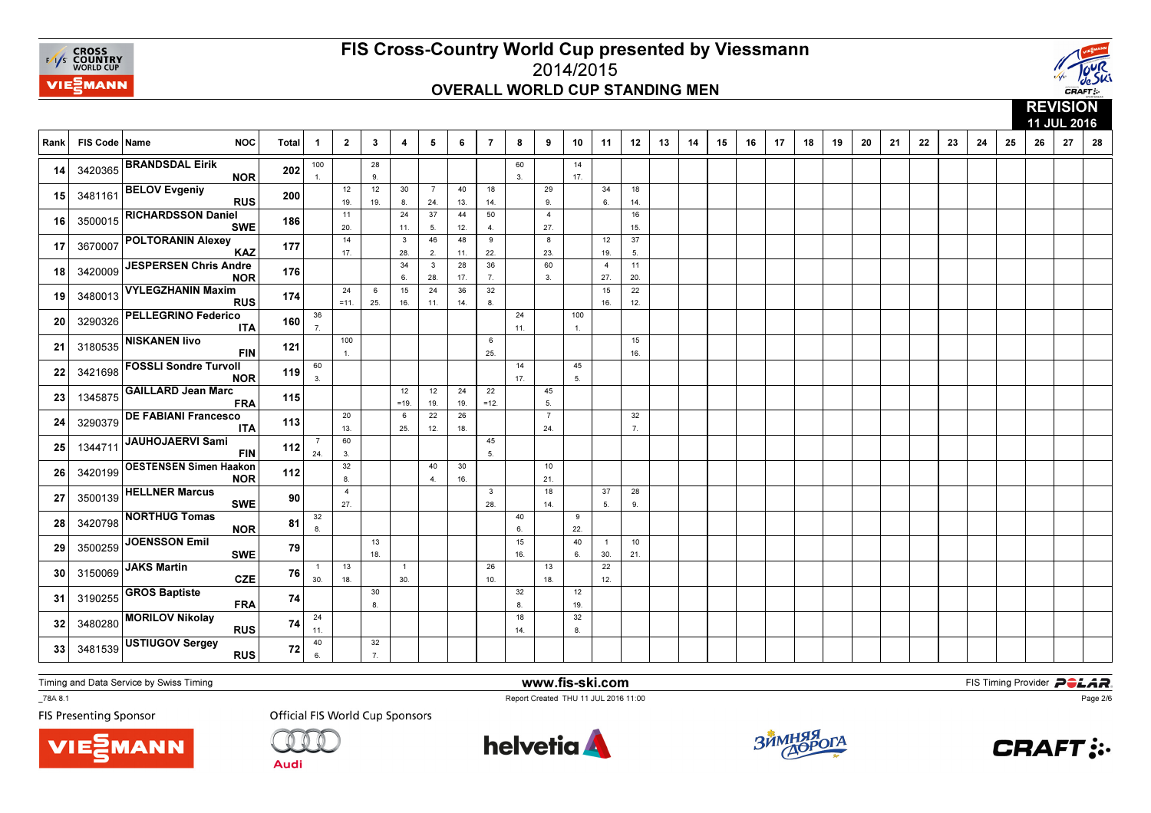



**REVISION**  11 JUL 201628 Rank | FIS Code | Name NOC | Total | 1 │ 2 │ 3 │ 4 │ 5 │ 6 │ 7 │ 8 │ 9 │ 10 │ 11 │ 12 │ 13 │ 14 │ 15 │ 16 │ 17 │ 18 │ 19 9 | 20 | 21 | 22 | 23 | 24 | 25 | 26 | 27 | 28 1001.28 9.60 3.14 17. 143420365 BRANDSDAL Eirik NOR <sup>202</sup> 12 19.12 19.30 8.7 24.40 13.18 14.29 9.34 6.18 $14.$ 14.<sup>15</sup> $15$  348116 BELOV Evgeniy<br>RUS <sup>200</sup> 11 20. $\frac{1}{14}$ 24 11.3 37 5. 4644 12. 4850 4.4 27. 81615. 16 3500015  $\begin{vmatrix} 1 & 0 & 0 & 0 \\ 0 & 0 & 0 & 0 \\ 0 & 0 & 0 & 0 \\ 0 & 0 & 0 & 0 \end{vmatrix}$  186  $\begin{vmatrix} 1 & 0 & 0 & 0 \\ 0 & 1 & 0 & 0 \\ 0 & 0 & 0 & 0 \\ 0 & 0 & 0 & 0 \end{vmatrix}$  11 5 12 4 7 27  $\begin{array}{|c|c|c|}\n\hline\n\text{3500015} & \text{RICHARDSSON Daniel} \\
\hline\n\end{array}$ SWE <sup>186</sup> 17. 28. 2. 11.9 22. 23.12 19.37 5. 17 <sup>3670007</sup>POLTORANIN Alexey<br>KAZ <sup>177</sup> 34 6.3 28.28 17.36 7.60 3.4 27.1120 20.<sup>18</sup> <sup>3420009</sup> JESPERSEN Chris Andre NOR <sup>176</sup> 24 =11.6 25.15 16.24 11.36 14.32 8.15 16.22 $12.$ 19 3480013  $\begin{vmatrix} 1 & 2 & 1 \\ 1 & 2 & 1 \\ 1 & 1 & 2 \end{vmatrix}$  174  $\begin{vmatrix} 1 & 1 & 1 \\ 1 & 1 & 1 \\ 1 & 1 & 1 \end{vmatrix}$  1. 19 3480013 VYLEGZHANIN Maxim <sup>174</sup> 36 7.24 11.100 $\mathbf{1}$ . 20 3290326  $\left| \begin{array}{cc} 2.290326 & -2.290326 \end{array} \right|$  160  $\left| \begin{array}{cc} 1.20 & 1.200 & 1.200326 \end{array} \right|$ **20 3290326 PELLEGRINO Federico**  <sup>160</sup> 100 1.6 25.15 16. 21 <sup>3180535</sup> NISKANEN Iivo FIN <sup>121</sup> 60 3.14 17.45 5. 22 <sup>3421698</sup>**FOSSLI Sondre Turvoll**  <sup>119</sup> 12 =19.12 19. $\frac{1}{22}$ 24 19. 2622 $=12.$ 45 $5.$ 5.<sup>23</sup>23 1345875 GAILLARD Jean Marc<br>FRA <sup>115</sup> 20 13.6 25. 12. 18.7 24.32 7. 24 <sup>3290379</sup>DE FABIANI Francesco <sup>113</sup> 7 24.60 3.45 $5.$ 5.<sup>25</sup>25 1344711 JAUHOJAERVI Sami FIN <sup>112</sup> 32 8.40 4.30 16.10 $21.$ 21.<sup>26</sup>26 3420199 OESTENSEN Simen Haakon<br>NOR <sup>112</sup> 4 27.3 28.18 14.37 5.28 9. 27 <sup>3500139</sup> HELLNER Marcus SWEE 90 32 8.40 6. 159 $22.$ 28 3420798  $\sim$  CONTROL DURE 81  $\frac{1}{8}$  | | | |  $\frac{1}{8}$  | | |  $\frac{1}{22}$ 28 3420798 NORTHUG Tomas<br>NOR  $\frac{81}{79}$ 13 18. 16.40 6.1 30.10 $21.$ 21.<sup>29</sup>**29** 3500259 JOENSSON Emil SWE E 79 1 30.13 18.1 30.26 10.13 18.22 $12.$ 30 3150069  $\begin{vmatrix} 3.16 & 0.069 \\ 0.06 & 0.069 \end{vmatrix}$   $\begin{vmatrix} 2.25 & 0.069 \\ 0.25 & 0.069 \end{vmatrix}$   $\begin{vmatrix} 2.25 & 0.069 \\ 0.0 & 0.069 \end{vmatrix}$   $\begin{vmatrix} 2.25 & 0.069 \\ 0.0 & 0.069 \end{vmatrix}$   $\begin{vmatrix} 2.25 & 0.069 \\ 0.0 & 0.069 \end{vmatrix}$ 30 3150069 JAKS Martin CZE <sup>76</sup> 30 8.32 8. $\overline{12}$ 19. 31 3190255  $\left| \begin{array}{ccc} 31 & 31 & 90 & 255 \\ 19 & 19 & 19 \end{array} \right|$  **FRA** 74  $\left| \begin{array}{c} 74 \\ 1 \\ 8 \end{array} \right|$   $\left| \begin{array}{c} 1 \\ 1 \\ 1 \end{array} \right|$   $\left| \begin{array}{c} 1 \\ 1 \\ 1 \end{array} \right|$ 31 3190255 GROS Baptiste FRA  $\overline{A}$  74 24 11.18 14.32 $8<sub>1</sub>$ 32 3480280  $\sim$  32 3480280  $\sim$  8.18  $\sim$  8.18  $\sim$  74  $\sim$  1.1  $\sim$  1  $\sim$  1  $\sim$  1  $\sim$  1.4  $\sim$  1.8  $\begin{array}{|l|l|}\n 32 & 3480280\n\end{array}$  MORILOV Nikolay <sup>74</sup> 40 6.32 $7.$ 33 3481539  $\frac{3481539}{17}$  RUS 72 6 7 33 3481539 USTIUGOV Sergey<br>RUS <sup>72</sup>

Timing and Data Service by Swiss Timing

**VIE***MANN* 

\_78A 8.1

**FIS Presenting Sponsor** 

**Official FIS World Cup Sponsors** 

Audi



www.fis-ski.com

Report Created THU 11 JUL 2016 11:00



**m**<br>FIS Timing Provider<br>Is 11:00



Page 2/6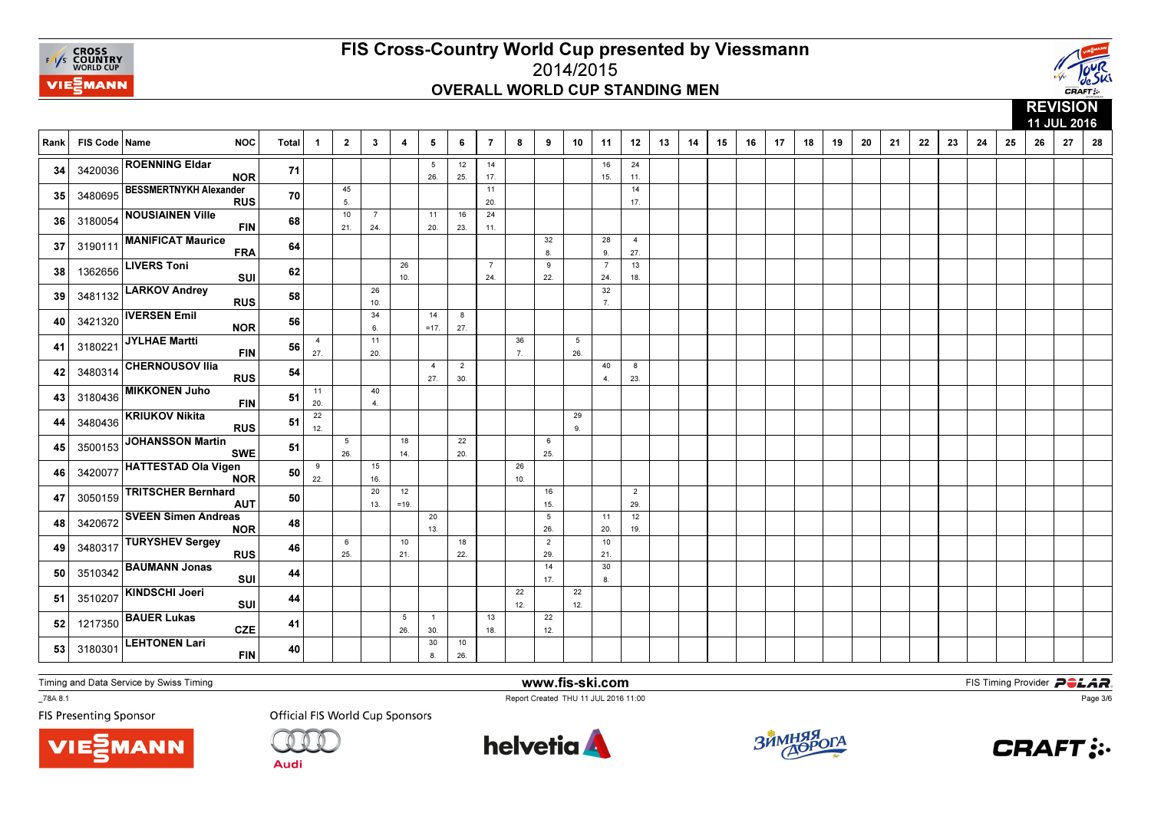



|      |               |                                             |       |                        |                        |                       |              |                        |                       |                       |           |                        |           |                        |                       |    |    |    |    |    |    |    |    |    |    |    |    |    |    | 11 JUL 2016 |    |
|------|---------------|---------------------------------------------|-------|------------------------|------------------------|-----------------------|--------------|------------------------|-----------------------|-----------------------|-----------|------------------------|-----------|------------------------|-----------------------|----|----|----|----|----|----|----|----|----|----|----|----|----|----|-------------|----|
| Rank | FIS Code Name | <b>NOC</b>                                  | Total | $\mathbf 1$            | $\overline{2}$         | $\mathbf{3}$          | 4            | 5                      | 6                     | $\overline{7}$        | 8         | 9                      | 10        | 11                     | 12                    | 13 | 14 | 15 | 16 | 17 | 18 | 19 | 20 | 21 | 22 | 23 | 24 | 25 | 26 | 27          | 28 |
| 34   |               | 3420036 ROENNING Eldar<br><b>NOR</b>        | 71    |                        |                        |                       |              | $5\phantom{.0}$<br>26. | 12<br>25.             | 14<br>17.             |           |                        |           | 16<br>15.              | 24<br>11.             |    |    |    |    |    |    |    |    |    |    |    |    |    |    |             |    |
| 35   | 3480695       | <b>BESSMERTNYKH Alexander</b><br><b>RUS</b> | 70    |                        | 45<br>5.               |                       |              |                        |                       | 11<br>20.             |           |                        |           |                        | 14<br>17.             |    |    |    |    |    |    |    |    |    |    |    |    |    |    |             |    |
| 36   | 3180054       | <b>NOUSIAINEN Ville</b><br><b>FIN</b>       | 68    |                        | 10<br>21.              | $\overline{7}$<br>24. |              | 11<br>20.              | 16<br>23.             | 24<br>11.             |           |                        |           |                        |                       |    |    |    |    |    |    |    |    |    |    |    |    |    |    |             |    |
| 37   | 3190111       | <b>MANIFICAT Maurice</b><br><b>FRA</b>      | 64    |                        |                        |                       |              |                        |                       |                       |           | 32<br>8                |           | 28<br>9.               | $\overline{4}$<br>27. |    |    |    |    |    |    |    |    |    |    |    |    |    |    |             |    |
| 38   | 1362656       | <b>LIVERS Toni</b><br>SUI                   | 62    |                        |                        |                       | 26<br>10.    |                        |                       | $\overline{7}$<br>24. |           | 9<br>22.               |           | $\overline{7}$<br>24.  | 13<br>18.             |    |    |    |    |    |    |    |    |    |    |    |    |    |    |             |    |
| 39   | 3481132       | <b>LARKOV Andrey</b><br><b>RUS</b>          | 58    |                        |                        | 26<br>10.             |              |                        |                       |                       |           |                        |           | 32<br>$\overline{7}$ . |                       |    |    |    |    |    |    |    |    |    |    |    |    |    |    |             |    |
| 40   | 3421320       | <b>IVERSEN Emil</b><br><b>NOR</b>           | 56    |                        |                        | 34<br>6.              |              | 14<br>$=17.$           | 8<br>27.              |                       |           |                        |           |                        |                       |    |    |    |    |    |    |    |    |    |    |    |    |    |    |             |    |
| 41   | 3180221       | JYLHAE Martti<br><b>FIN</b>                 | 56    | $\overline{4}$<br>27.  |                        | 11<br>20.             |              |                        |                       |                       | 36<br>7.  |                        | 5<br>26.  |                        |                       |    |    |    |    |    |    |    |    |    |    |    |    |    |    |             |    |
| 42   | 3480314       | <b>CHERNOUSOV IIIa</b><br><b>RUS</b>        | 54    |                        |                        |                       |              | $\overline{4}$<br>27.  | $\overline{2}$<br>30. |                       |           |                        |           | 40<br>$\overline{4}$   | 8<br>23.              |    |    |    |    |    |    |    |    |    |    |    |    |    |    |             |    |
| 43   | 3180436       | <b>MIKKONEN Juho</b><br><b>FIN</b>          | 51    | 11<br>20.              |                        | 40<br>4.              |              |                        |                       |                       |           |                        |           |                        |                       |    |    |    |    |    |    |    |    |    |    |    |    |    |    |             |    |
| 44   | 3480436       | <b>KRIUKOV Nikita</b><br><b>RUS</b>         | 51    | $\overline{22}$<br>12. |                        |                       |              |                        |                       |                       |           |                        | 29<br>9.  |                        |                       |    |    |    |    |    |    |    |    |    |    |    |    |    |    |             |    |
| 45   | 3500153       | <b>JOHANSSON Martin</b><br><b>SWE</b>       | 51    |                        | $5\overline{5}$<br>26. |                       | 18<br>14.    |                        | 22<br>20.             |                       |           | 6<br>25.               |           |                        |                       |    |    |    |    |    |    |    |    |    |    |    |    |    |    |             |    |
| 46   | 3420077       | <b>HATTESTAD Ola Vigen</b><br><b>NOR</b>    | 50    | 9<br>22.               |                        | 15<br>16.             |              |                        |                       |                       | 26<br>10. |                        |           |                        |                       |    |    |    |    |    |    |    |    |    |    |    |    |    |    |             |    |
| 47   | 3050159       | <b>TRITSCHER Bernhard</b><br><b>AUT</b>     | 50    |                        |                        | 20<br>13.             | 12<br>$=19.$ |                        |                       |                       |           | 16<br>15.              |           |                        | $\overline{2}$<br>29. |    |    |    |    |    |    |    |    |    |    |    |    |    |    |             |    |
| 48   | 3420672       | <b>SVEEN Simen Andreas</b><br><b>NOR</b>    | 48    |                        |                        |                       |              | 20<br>13.              |                       |                       |           | $5\phantom{.0}$<br>26. |           | 11<br>20.              | 12<br>19.             |    |    |    |    |    |    |    |    |    |    |    |    |    |    |             |    |
| 49   | 3480317       | <b>TURYSHEV Sergey</b><br><b>RUS</b>        | 46    |                        | 6<br>25.               |                       | 10<br>21.    |                        | 18<br>22.             |                       |           | 2<br>29.               |           | 10<br>21.              |                       |    |    |    |    |    |    |    |    |    |    |    |    |    |    |             |    |
| 50   | 3510342       | <b>BAUMANN Jonas</b><br>SUI                 | 44    |                        |                        |                       |              |                        |                       |                       |           | 14<br>17.              |           | 30<br>8.               |                       |    |    |    |    |    |    |    |    |    |    |    |    |    |    |             |    |
| 51   |               | 3510207 KINDSCHI Joeri<br>SUI               | 44    |                        |                        |                       |              |                        |                       |                       | 22<br>12. |                        | 22<br>12. |                        |                       |    |    |    |    |    |    |    |    |    |    |    |    |    |    |             |    |
| 52   | 1217350       | <b>BAUER Lukas</b><br><b>CZE</b>            | 41    |                        |                        |                       | 5<br>26.     | $\overline{1}$<br>30.  |                       | 13<br>18.             |           | 22<br>12.              |           |                        |                       |    |    |    |    |    |    |    |    |    |    |    |    |    |    |             |    |
| 53   | 3180301       | <b>LEHTONEN Lari</b><br><b>FIN</b>          | 40    |                        |                        |                       |              | 30<br>8.               | 10<br>26.             |                       |           |                        |           |                        |                       |    |    |    |    |    |    |    |    |    |    |    |    |    |    |             |    |

Timing and Data Service by Swiss Timing

MANN

\_78A 8.1

**FIS Presenting Sponsor** 



**Audi** 



www.fis-ski.com

Report Created THU 11 JUL 2016 11:00



**m**<br>FIS Timing Provider<br>Is 11:00



Page 3/6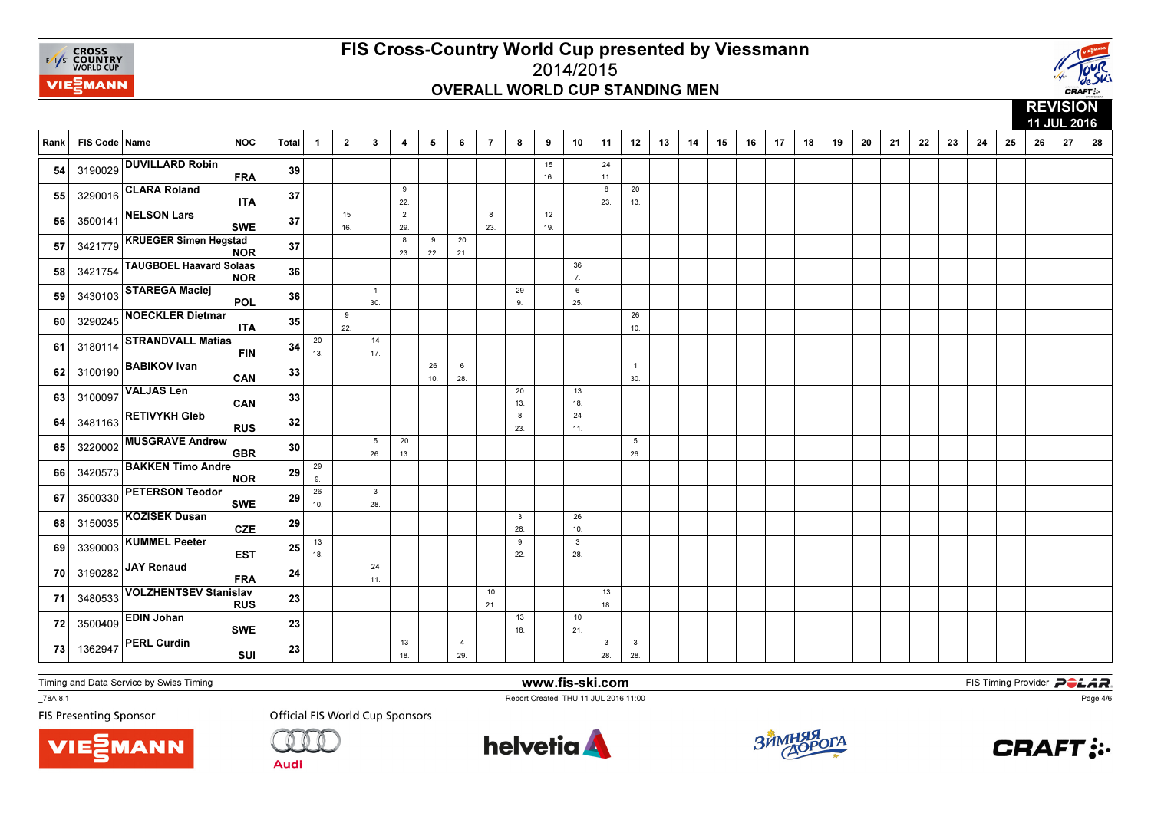



|      |               |                                              |              |                |                |                                |                         |           |                       |                |                     |           |                        |                     |                        |    |    |    |    |    |    |    |    |    |    |    |    |    |    | 11 JUL 2016 |    |
|------|---------------|----------------------------------------------|--------------|----------------|----------------|--------------------------------|-------------------------|-----------|-----------------------|----------------|---------------------|-----------|------------------------|---------------------|------------------------|----|----|----|----|----|----|----|----|----|----|----|----|----|----|-------------|----|
| Rank | FIS Code Name | <b>NOC</b>                                   | <b>Total</b> | $\overline{1}$ | $\overline{2}$ | $\mathbf{3}$                   | $\overline{\mathbf{4}}$ | 5         | 6                     | $\overline{7}$ | 8                   | 9         | 10                     | 11                  | 12                     | 13 | 14 | 15 | 16 | 17 | 18 | 19 | 20 | 21 | 22 | 23 | 24 | 25 | 26 | 27          | 28 |
| 54   |               | 3190029 DUVILLARD Robin<br><b>FRA</b>        | 39           |                |                |                                |                         |           |                       |                |                     | 15<br>16. |                        | 24<br>11.           |                        |    |    |    |    |    |    |    |    |    |    |    |    |    |    |             |    |
| 55   |               | 3290016 CLARA Roland<br><b>ITA</b>           | 37           |                |                |                                | 9<br>22.                |           |                       |                |                     |           |                        | 8<br>23.            | 20<br>13.              |    |    |    |    |    |    |    |    |    |    |    |    |    |    |             |    |
| 56   | 3500141       | <b>NELSON Lars</b><br><b>SWE</b>             | 37           |                | 15<br>16.      |                                | $\overline{2}$<br>29.   |           |                       | 8<br>23.       |                     | 12<br>19. |                        |                     |                        |    |    |    |    |    |    |    |    |    |    |    |    |    |    |             |    |
| 57   | 3421779       | <b>KRUEGER Simen Hegstad</b><br><b>NOR</b>   | 37           |                |                |                                | 8<br>23.                | 9<br>22.  | 20<br>21.             |                |                     |           |                        |                     |                        |    |    |    |    |    |    |    |    |    |    |    |    |    |    |             |    |
| 58   | 3421754       | <b>TAUGBOEL Haavard Solaas</b><br><b>NOR</b> | 36           |                |                |                                |                         |           |                       |                |                     |           | 36<br>$\overline{7}$ . |                     |                        |    |    |    |    |    |    |    |    |    |    |    |    |    |    |             |    |
| 59   | 3430103       | <b>STAREGA Maciej</b><br><b>POL</b>          | 36           |                |                | $\overline{1}$<br>30.          |                         |           |                       |                | 29<br>9.            |           | 6<br>25.               |                     |                        |    |    |    |    |    |    |    |    |    |    |    |    |    |    |             |    |
| 60   | 3290245       | <b>NOECKLER Dietmar</b><br><b>ITA</b>        | 35           |                | 9<br>22.       |                                |                         |           |                       |                |                     |           |                        |                     | 26<br>10.              |    |    |    |    |    |    |    |    |    |    |    |    |    |    |             |    |
| 61   | 3180114       | <b>STRANDVALL Matias</b><br><b>FIN</b>       | 34           | 20<br>13.      |                | 14<br>17.                      |                         |           |                       |                |                     |           |                        |                     |                        |    |    |    |    |    |    |    |    |    |    |    |    |    |    |             |    |
| 62   | 3100190       | <b>BABIKOV Ivan</b><br>CAN                   | 33           |                |                |                                |                         | 26<br>10. | 6<br>28.              |                |                     |           |                        |                     | $\overline{1}$<br>30.  |    |    |    |    |    |    |    |    |    |    |    |    |    |    |             |    |
| 63   | 3100097       | <b>VALJAS Len</b><br>CAN                     | 33           |                |                |                                |                         |           |                       |                | 20<br>13.           |           | 13<br>18.              |                     |                        |    |    |    |    |    |    |    |    |    |    |    |    |    |    |             |    |
| 64   | 3481163       | <b>RETIVYKH Gleb</b><br><b>RUS</b>           | 32           |                |                |                                |                         |           |                       |                | 8<br>23.            |           | 24<br>11.              |                     |                        |    |    |    |    |    |    |    |    |    |    |    |    |    |    |             |    |
| 65   | 3220002       | <b>MUSGRAVE Andrew</b><br><b>GBR</b>         | 30           |                |                | $5\overline{5}$<br>26.         | 20<br>13.               |           |                       |                |                     |           |                        |                     | $5\overline{5}$<br>26. |    |    |    |    |    |    |    |    |    |    |    |    |    |    |             |    |
| 66   | 3420573       | <b>BAKKEN Timo Andre</b><br><b>NOR</b>       | 29           | 29<br>9.       |                |                                |                         |           |                       |                |                     |           |                        |                     |                        |    |    |    |    |    |    |    |    |    |    |    |    |    |    |             |    |
| 67   | 3500330       | <b>PETERSON Teodor</b><br><b>SWE</b>         | 29           | 26<br>10.      |                | $\overline{\mathbf{3}}$<br>28. |                         |           |                       |                |                     |           |                        |                     |                        |    |    |    |    |    |    |    |    |    |    |    |    |    |    |             |    |
| 68   | 3150035       | KOZISEK Dusan<br><b>CZE</b>                  | 29           |                |                |                                |                         |           |                       |                | $\mathbf{3}$<br>28. |           | 26<br>10.              |                     |                        |    |    |    |    |    |    |    |    |    |    |    |    |    |    |             |    |
| 69   | 3390003       | <b>KUMMEL Peeter</b><br><b>EST</b>           | 25           | 13<br>18.      |                |                                |                         |           |                       |                | 9<br>22.            |           | $\mathbf{3}$<br>28.    |                     |                        |    |    |    |    |    |    |    |    |    |    |    |    |    |    |             |    |
| 70   | 3190282       | JAY Renaud<br><b>FRA</b>                     | 24           |                |                | 24<br>11.                      |                         |           |                       |                |                     |           |                        |                     |                        |    |    |    |    |    |    |    |    |    |    |    |    |    |    |             |    |
| 71   | 3480533       | <b>VOLZHENTSEV Stanislav</b><br><b>RUS</b>   | 23           |                |                |                                |                         |           |                       | 10<br>21.      |                     |           |                        | 13<br>18.           |                        |    |    |    |    |    |    |    |    |    |    |    |    |    |    |             |    |
| 72   | 3500409       | <b>EDIN Johan</b><br><b>SWE</b>              | 23           |                |                |                                |                         |           |                       |                | 13<br>18.           |           | 10<br>21.              |                     |                        |    |    |    |    |    |    |    |    |    |    |    |    |    |    |             |    |
| 73   | 1362947       | <b>PERL Curdin</b><br>SUI                    | 23           |                |                |                                | 13<br>18.               |           | $\overline{4}$<br>29. |                |                     |           |                        | $\mathbf{3}$<br>28. | $\mathbf{3}$<br>28.    |    |    |    |    |    |    |    |    |    |    |    |    |    |    |             |    |

Timing and Data Service by Swiss Timing

\_78A 8.1

**FIS Presenting Sponsor** 





**Official FIS World Cup Sponsors** 

helvetia **A** 

www.fis-ski.com

Report Created THU 11 JUL 2016 11:00



**m**<br>FIS Timing Provider<br>Is 11:00



Page 4/6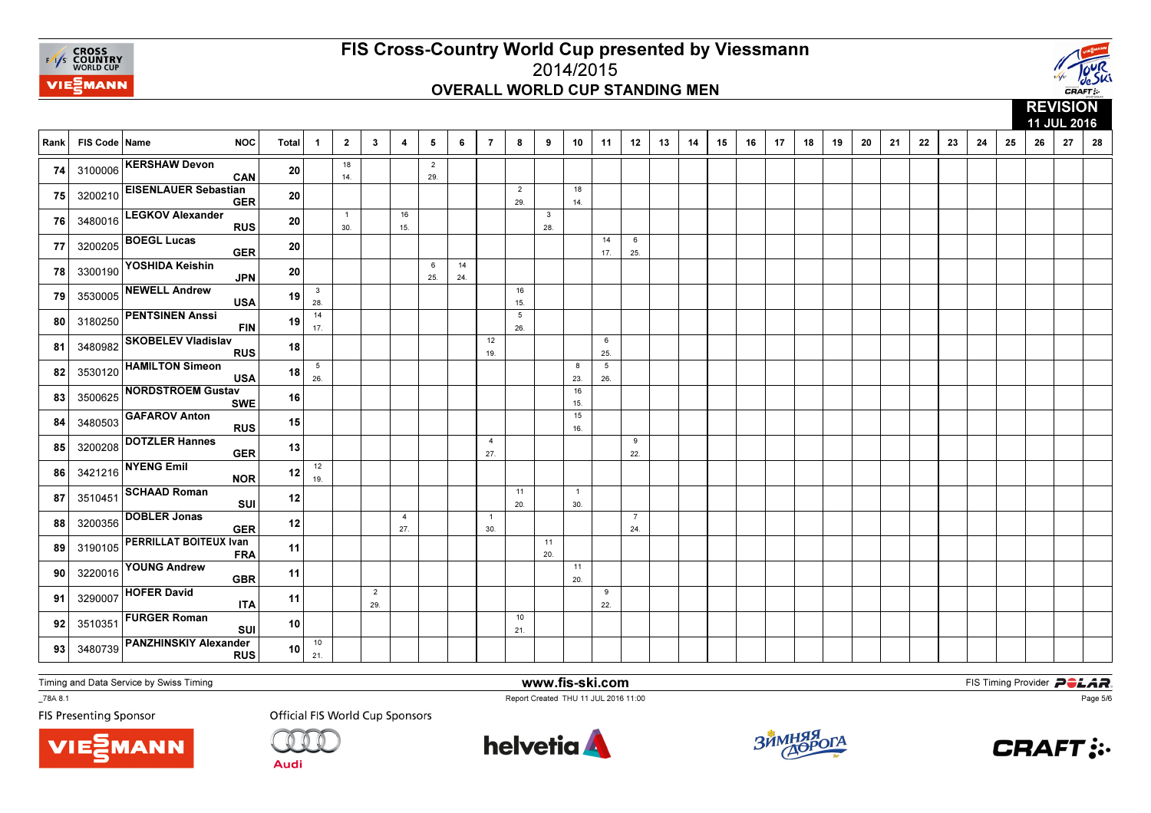



|      |               |                                             |                 |                        |                     |                       |                       |                       |           |                       |                        |                                |                       |                        |                       |    |    |    |    |    |    |    |    |    |    |    |    |    |    | 11 JUL 2016 |    |
|------|---------------|---------------------------------------------|-----------------|------------------------|---------------------|-----------------------|-----------------------|-----------------------|-----------|-----------------------|------------------------|--------------------------------|-----------------------|------------------------|-----------------------|----|----|----|----|----|----|----|----|----|----|----|----|----|----|-------------|----|
| Rank | FIS Code Name | <b>NOC</b>                                  | Total           | $\overline{1}$         | $\overline{2}$      | $\mathbf{3}$          | 4                     | 5                     | 6         | $\overline{7}$        | 8                      | 9                              | 10                    | 11                     | 12                    | 13 | 14 | 15 | 16 | 17 | 18 | 19 | 20 | 21 | 22 | 23 | 24 | 25 | 26 | 27          | 28 |
| 74   |               | 3100006 KERSHAW Devon<br>CAN                | 20              |                        | 18<br>14.           |                       |                       | $\overline{2}$<br>29. |           |                       |                        |                                |                       |                        |                       |    |    |    |    |    |    |    |    |    |    |    |    |    |    |             |    |
| 75   | 3200210       | <b>EISENLAUER Sebastian</b><br><b>GER</b>   | 20              |                        |                     |                       |                       |                       |           |                       | $\overline{2}$<br>29.  |                                | 18<br>14.             |                        |                       |    |    |    |    |    |    |    |    |    |    |    |    |    |    |             |    |
| 76   | 3480016       | <b>LEGKOV Alexander</b><br><b>RUS</b>       | ${\bf 20}$      |                        | $\mathbf{1}$<br>30. |                       | 16<br>15.             |                       |           |                       |                        | $\overline{\mathbf{3}}$<br>28. |                       |                        |                       |    |    |    |    |    |    |    |    |    |    |    |    |    |    |             |    |
| 77   | 3200205       | <b>BOEGL Lucas</b><br><b>GER</b>            | 20              |                        |                     |                       |                       |                       |           |                       |                        |                                |                       | 14<br>17.              | 6<br>25.              |    |    |    |    |    |    |    |    |    |    |    |    |    |    |             |    |
| 78   | 3300190       | YOSHIDA Keishin<br><b>JPN</b>               | 20              |                        |                     |                       |                       | 6<br>25.              | 14<br>24. |                       |                        |                                |                       |                        |                       |    |    |    |    |    |    |    |    |    |    |    |    |    |    |             |    |
| 79   | 3530005       | <b>NEWELL Andrew</b><br><b>USA</b>          | 19              | $\mathbf{3}$<br>28.    |                     |                       |                       |                       |           |                       | 16<br>15.              |                                |                       |                        |                       |    |    |    |    |    |    |    |    |    |    |    |    |    |    |             |    |
| 80   | 3180250       | <b>PENTSINEN Anssi</b><br><b>FIN</b>        | 19              | 14<br>17.              |                     |                       |                       |                       |           |                       | $5\overline{5}$<br>26. |                                |                       |                        |                       |    |    |    |    |    |    |    |    |    |    |    |    |    |    |             |    |
| 81   | 3480982       | <b>SKOBELEV Vladislav</b><br><b>RUS</b>     | 18 I            |                        |                     |                       |                       |                       |           | 12<br>19.             |                        |                                |                       | 6<br>25.               |                       |    |    |    |    |    |    |    |    |    |    |    |    |    |    |             |    |
| 82   | 3530120       | <b>HAMILTON Simeon</b><br><b>USA</b>        | 18              | $5\phantom{.0}$<br>26. |                     |                       |                       |                       |           |                       |                        |                                | 8<br>23.              | $5\phantom{.0}$<br>26. |                       |    |    |    |    |    |    |    |    |    |    |    |    |    |    |             |    |
| 83   | 3500625       | <b>NORDSTROEM Gustav</b><br><b>SWE</b>      | 16              |                        |                     |                       |                       |                       |           |                       |                        |                                | 16<br>15.             |                        |                       |    |    |    |    |    |    |    |    |    |    |    |    |    |    |             |    |
| 84   | 3480503       | <b>GAFAROV Anton</b><br><b>RUS</b>          | 15              |                        |                     |                       |                       |                       |           |                       |                        |                                | 15<br>16.             |                        |                       |    |    |    |    |    |    |    |    |    |    |    |    |    |    |             |    |
| 85   | 3200208       | <b>DOTZLER Hannes</b><br><b>GER</b>         | 13              |                        |                     |                       |                       |                       |           | $\overline{4}$<br>27. |                        |                                |                       |                        | 9<br>22.              |    |    |    |    |    |    |    |    |    |    |    |    |    |    |             |    |
| 86   | 3421216       | <b>NYENG Emil</b><br><b>NOR</b>             | 12              | 12<br>19.              |                     |                       |                       |                       |           |                       |                        |                                |                       |                        |                       |    |    |    |    |    |    |    |    |    |    |    |    |    |    |             |    |
| 87   | 3510451       | <b>SCHAAD Roman</b><br>SUI                  | 12              |                        |                     |                       |                       |                       |           |                       | 11<br>20.              |                                | $\overline{1}$<br>30. |                        |                       |    |    |    |    |    |    |    |    |    |    |    |    |    |    |             |    |
| 88   | 3200356       | <b>DOBLER Jonas</b><br><b>GER</b>           | 12              |                        |                     |                       | $\overline{4}$<br>27. |                       |           | $\overline{1}$<br>30. |                        |                                |                       |                        | $\overline{7}$<br>24. |    |    |    |    |    |    |    |    |    |    |    |    |    |    |             |    |
| 89   | 3190105       | <b>PERRILLAT BOITEUX Ivan</b><br><b>FRA</b> | 11              |                        |                     |                       |                       |                       |           |                       |                        | 11<br>20.                      |                       |                        |                       |    |    |    |    |    |    |    |    |    |    |    |    |    |    |             |    |
| 90   | 3220016       | <b>YOUNG Andrew</b><br><b>GBR</b>           | 11              |                        |                     |                       |                       |                       |           |                       |                        |                                | 11<br>20.             |                        |                       |    |    |    |    |    |    |    |    |    |    |    |    |    |    |             |    |
| 91   | 3290007       | <b>HOFER David</b><br><b>ITA</b>            | 11              |                        |                     | $\overline{2}$<br>29. |                       |                       |           |                       |                        |                                |                       | 9<br>22.               |                       |    |    |    |    |    |    |    |    |    |    |    |    |    |    |             |    |
| 92   | 3510351       | <b>FURGER Roman</b><br>SUI                  | 10              |                        |                     |                       |                       |                       |           |                       | 10<br>21.              |                                |                       |                        |                       |    |    |    |    |    |    |    |    |    |    |    |    |    |    |             |    |
| 93   | 3480739       | <b>PANZHINSKIY Alexander</b><br><b>RUS</b>  | 10 <sup>1</sup> | $10$<br>21.            |                     |                       |                       |                       |           |                       |                        |                                |                       |                        |                       |    |    |    |    |    |    |    |    |    |    |    |    |    |    |             |    |

Timing and Data Service by Swiss Timing

MANN

\_78A 8.1

**FIS Presenting Sponsor** 

**Official FIS World Cup Sponsors** 



www.fis-ski.com

Report Created THU 11 JUL 2016 11:00



**m**<br>FIS Timing Provider<br>Is 11:00



Page 5/6